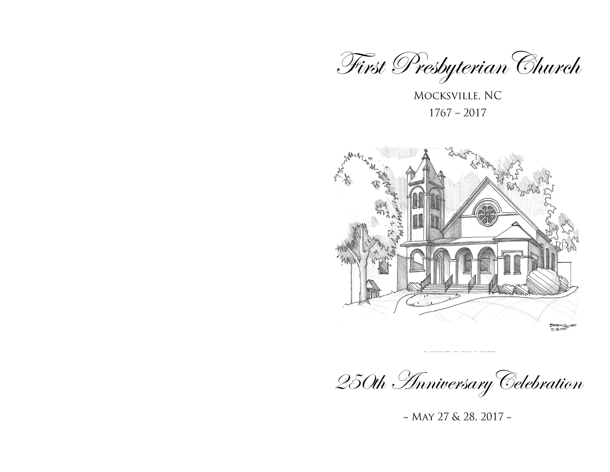

MOCKSVILLE, NC  $1767 - 2017$ 





~ MAY 27 & 28, 2017 ~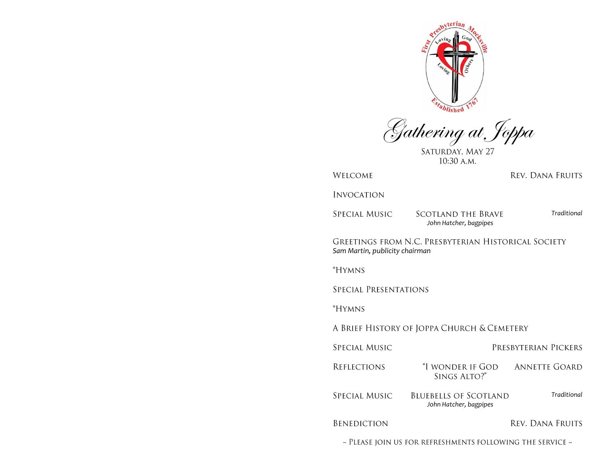

Gathering at Joppa

10:30 A.M.

WELCOME

**INVOCATION** 

**SPECIAL MUSIC** 

**SCOTLAND THE BRAVE** *John Hatcher, bagpipes*

*Traditional*

REV. DANA FRUITS

GREETINGS FROM N.C. PRESBYTERIAN HISTORICAL SOCIETY *Sam Martin, publicity chairman*

\*HYMNS

SPECIAL PRESENTATIONS

*\*HYMNS* 

A BRIEF HISTORY OF JOPPA CHURCH & CEMETERY

| SPECIAL MUSIC                                                       |                                                        | PRESBYTERIAN PICKERS |  |
|---------------------------------------------------------------------|--------------------------------------------------------|----------------------|--|
| <b>REFLECTIONS</b>                                                  | "I wonder if God<br>SINGS ALTO?"                       | ANNETTE GOARD        |  |
| SPECIAL MUSIC                                                       | <b>BLUEBELLS OF SCOTLAND</b><br>John Hatcher, bagpipes | Traditional          |  |
| <b>BENEDICTION</b>                                                  |                                                        | REV. DANA FRUITS     |  |
| $\sim$ Please join us for refreshments following the service $\sim$ |                                                        |                      |  |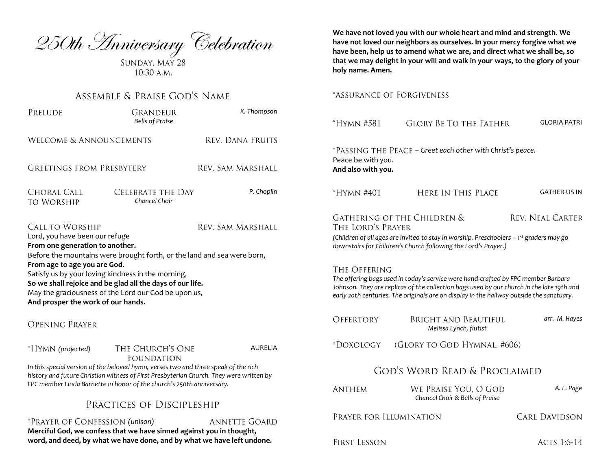250th *Anniversary* Celebration

 $10:30$  A.M.

# ASSEMBLE & PRAISE GOD'S NAME

| PRELUDE                                                                                                                                                                                                                                                                                                                                                                                                                                      | Grandeur<br><b>Bells of Praise</b> | K. Thompson       |  |  |
|----------------------------------------------------------------------------------------------------------------------------------------------------------------------------------------------------------------------------------------------------------------------------------------------------------------------------------------------------------------------------------------------------------------------------------------------|------------------------------------|-------------------|--|--|
| <b>WELCOME &amp; ANNOUNCEMENTS</b>                                                                                                                                                                                                                                                                                                                                                                                                           |                                    | REV. DANA FRUITS  |  |  |
| GREETINGS FROM PRESBYTERY                                                                                                                                                                                                                                                                                                                                                                                                                    |                                    | Rev. Sam Marshall |  |  |
| CHORAL CALL<br>to Worship                                                                                                                                                                                                                                                                                                                                                                                                                    | Celebrate the Day<br>Chancel Choir | P. Choplin        |  |  |
| <b>CALL TO WORSHIP</b><br>Rev. Sam Marshall<br>Lord, you have been our refuge<br>From one generation to another.<br>Before the mountains were brought forth, or the land and sea were born,<br>From age to age you are God.<br>Satisfy us by your loving kindness in the morning,<br>So we shall rejoice and be glad all the days of our life.<br>May the graciousness of the Lord our God be upon us,<br>And prosper the work of our hands. |                                    |                   |  |  |

**OPENING PRAYER** 

| *HYMN (projected)                                                                       | AURELIA |  |  |  |
|-----------------------------------------------------------------------------------------|---------|--|--|--|
| FOUNDATION                                                                              |         |  |  |  |
| In this special version of the beloved hymn, verses two and three speak of the rich     |         |  |  |  |
| history and future Christian witness of First Presbyterian Church. They were written by |         |  |  |  |

*FPC member Linda Barnette in honor of the church's 250th anniversary.*

# PRACTICES OF DISCIPLESHIP

*(unison)* **ANNETTE GOARD Merciful God, we confess that we have sinned against you in thought, word, and deed, by what we have done, and by what we have left undone.**

**We have not loved you with our whole heart and mind and strength. We have not loved our neighbors as ourselves. In your mercy forgive what we have been, help us to amend what we are, and direct what we shall be, so that we may delight in your will and walk in your ways, to the glory of your holy name. Amen.**

## \*ASSURANCE OF FORGIVENESS

| *HYMN #581                                                                                                                                                                                                                                                                                 | <b>GLORY BE TO THE FATHER</b>                           | <b>GLORIA PATRI</b>  |  |  |  |
|--------------------------------------------------------------------------------------------------------------------------------------------------------------------------------------------------------------------------------------------------------------------------------------------|---------------------------------------------------------|----------------------|--|--|--|
| *PASSING THE PEACE - Greet each other with Christ's peace.<br>Peace be with you.<br>And also with you.                                                                                                                                                                                     |                                                         |                      |  |  |  |
| *Hymn #401                                                                                                                                                                                                                                                                                 | Here In This Place                                      | <b>GATHER US IN</b>  |  |  |  |
| GATHERING OF THE CHILDREN &<br><b>REV. NEAL CARTER</b><br>THE LORD'S PRAYER<br>(Children of all ages are invited to stay in worship. Preschoolers - 1 <sup>st</sup> graders may go<br>downstairs for Children's Church following the Lord's Prayer.)                                       |                                                         |                      |  |  |  |
| The Offering<br>The offering bags used in today's service were hand-crafted by FPC member Barbara<br>Johnson. They are replicas of the collection bags used by our church in the late 19th and<br>early 20th centuries. The originals are on display in the hallway outside the sanctuary. |                                                         |                      |  |  |  |
| <b>OFFERTORY</b>                                                                                                                                                                                                                                                                           | Bright and Beautiful<br>Melissa Lynch, flutist          | arr. M. Hayes        |  |  |  |
| *DOXOLOGY                                                                                                                                                                                                                                                                                  | (GLORY TO GOD HYMNAL, #606)                             |                      |  |  |  |
| God's Word Read & Proclaimed                                                                                                                                                                                                                                                               |                                                         |                      |  |  |  |
| <b>ANTHEM</b>                                                                                                                                                                                                                                                                              | We Praise You, O GOD<br>Chancel Choir & Bells of Praise | A. L. Page           |  |  |  |
| PRAYER FOR ILLUMINATION                                                                                                                                                                                                                                                                    |                                                         | <b>CARL DAVIDSON</b> |  |  |  |
| First Lesson                                                                                                                                                                                                                                                                               |                                                         | <b>ACTS 1:6-14</b>   |  |  |  |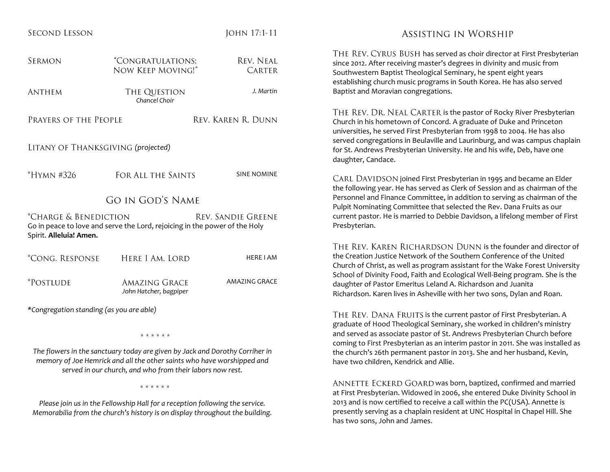| <b>SECOND LESSON</b>                                                                                                                                                                                                |                                                | JOHN 17:1-11                                                                                                               | ASSISTING                                                                                                                                                 |
|---------------------------------------------------------------------------------------------------------------------------------------------------------------------------------------------------------------------|------------------------------------------------|----------------------------------------------------------------------------------------------------------------------------|-----------------------------------------------------------------------------------------------------------------------------------------------------------|
| <b>SERMON</b>                                                                                                                                                                                                       | "CONGRATULATIONS;<br>NOW KEEP MOVING!"         | <b>REV. NEAL</b><br><b>CARTER</b>                                                                                          | THE REV. CYRUS BUSH has serve<br>since 2012. After receiving master's de<br>Southwestern Baptist Theological Ser                                          |
| <b>ANTHEM</b>                                                                                                                                                                                                       | THE QUESTION<br>Chancel Choir                  | J. Martin                                                                                                                  | establishing church music programs ir<br>Baptist and Moravian congregations.                                                                              |
| PRAYERS OF THE PEOPLE                                                                                                                                                                                               |                                                | REV. KAREN R. DUNN                                                                                                         | THE REV. DR. NEAL CARTER is th<br>Church in his hometown of Concord.<br>universities, he served First Presbyter<br>served congregations in Beulaville and |
| LITANY OF THANKSGIVING (projected)                                                                                                                                                                                  |                                                |                                                                                                                            | for St. Andrews Presbyterian Universi<br>daughter, Candace.                                                                                               |
| *HYMN #326                                                                                                                                                                                                          | FOR ALL THE SAINTS                             | <b>SINE NOMINE</b>                                                                                                         | CARL DAVIDSON joined First Presb<br>the following year. He has served as C                                                                                |
| <b>GO IN GOD'S NAME</b>                                                                                                                                                                                             |                                                |                                                                                                                            | Personnel and Finance Committee, in<br>Pulpit Nominating Committee that sel                                                                               |
| <i>*Charge &amp; Benediction</i><br><b>REV. SANDIE GREENE</b><br>Go in peace to love and serve the Lord, rejoicing in the power of the Holy<br>Spirit. Alleluia! Amen.                                              |                                                |                                                                                                                            | current pastor. He is married to Debbi<br>Presbyterian.                                                                                                   |
|                                                                                                                                                                                                                     |                                                |                                                                                                                            | THE REV. KAREN RICHARDSON                                                                                                                                 |
| <i>*CONG. RESPONSE</i>                                                                                                                                                                                              | HERE I AM, LORD                                | <b>HERE I AM</b>                                                                                                           | the Creation Justice Network of the S<br>Church of Christ, as well as program a                                                                           |
| *POSTLUDE                                                                                                                                                                                                           | <b>AMAZING GRACE</b><br>John Hatcher, bagpiper | AMAZING GRACE                                                                                                              | School of Divinity Food, Faith and Eco<br>daughter of Pastor Emeritus Leland A<br>Richardson. Karen lives in Asheville w                                  |
| *Congregation standing (as you are able)                                                                                                                                                                            |                                                |                                                                                                                            | THE REV. DANA FRUITS is the cur                                                                                                                           |
|                                                                                                                                                                                                                     | * * * * * *                                    |                                                                                                                            | graduate of Hood Theological Semina<br>and served as associate pastor of St. /                                                                            |
| The flowers in the sanctuary today are given by Jack and Dorothy Corriher in<br>memory of Joe Hemrick and all the other saints who have worshipped and<br>served in our church, and who from their labors now rest. |                                                | coming to First Presbyterian as an inte<br>the church's 26th permanent pastor in<br>have two children, Kendrick and Allie. |                                                                                                                                                           |
| * * * * * *                                                                                                                                                                                                         |                                                |                                                                                                                            | ANNETTE ECKERD GOARD was b<br>at First Presbyterian. Widowed in 200                                                                                       |
| ومنسوم وملدمشين بالمكسوم بتعاوي ومكالملا والمساويات والمستحلف والمشاور والمتواطن                                                                                                                                    |                                                |                                                                                                                            | and is now certified to receive a                                                                                                                         |

*Please join us in the Fellowship Hall for a reception following the service. Memorabilia from the church's history is on display throughout the building.*

# IN WORSHIP

d as choir director at First Presbyterian egrees in divinity and music from minary, he spent eight years n South Korea. He has also served

he pastor of Rocky River Presbyterian A graduate of Duke and Princeton ian from 1998 to 2004. He has also d Laurinburg, and was campus chaplain ity. He and his wife, Deb, have one

byterian in 1995 and became an Elder Llerk of Session and as chairman of the addition to serving as chairman of the lected the Rev. Dana Fruits as our ie Davidson, a lifelong member of First

DUNN is the founder and director of outhern Conference of the United Issistant for the Wake Forest University Iogical Well-Being program. She is the a. Richardson and Juanita ith her two sons, Dylan and Roan.

rrent pastor of First Presbyterian. A ary, she worked in children's ministry Andrews Presbyterian Church before erim pastor in 2011. She was installed as n 2013. She and her husband, Kevin,

oorn, baptized, confirmed and married 6, she entered Duke Divinity School in 2013 and is now certified to receive a call within the PC(USA). Annette is presently serving as a chaplain resident at UNC Hospital in Chapel Hill. She has two sons, John and James.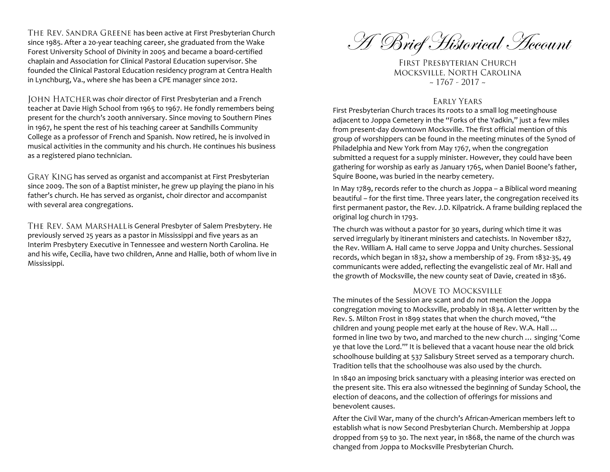THE REV. SANDRA GREENE has been active at First Presbyterian Church since 1985. After a 20-year teaching career, she graduated from the Wake Forest University School of Divinity in 2005 and became a board-certified chaplain and Association for Clinical Pastoral Education supervisor. She founded the Clinical Pastoral Education residency program at Centra Health in Lynchburg, Va., where she has been a CPE manager since 2012.

JOHN HATCHER was choir director of First Presbyterian and a French teacher at Davie High School from 1965 to 1967. He fondly remembers being present for the church's 200th anniversary. Since moving to Southern Pines in 1967, he spent the rest of his teaching career at Sandhills Community College as a professor of French and Spanish. Now retired, he is involved in musical activities in the community and his church. He continues his business as a registered piano technician.

GRAY KING has served as organist and accompanist at First Presbyterian since 2009. The son of a Baptist minister, he grew up playing the piano in his father's church. He has served as organist, choir director and accompanist with several area congregations.

THE REV. SAM MARSHALL is General Presbyter of Salem Presbytery. He previously served 25 years as a pastor in Mississippi and five years as an Interim Presbytery Executive in Tennessee and western North Carolina. He and his wife, Cecilia, have two children, Anne and Hallie, both of whom live in Mississippi.

A Brief Historical Account

FIRST PRESBYTERIAN CHURCH MOCKSVILLE, NORTH CAROLINA  $\sim$  1767 - 2017  $\sim$ 

#### **EARLY YEARS**

First Presbyterian Church traces its roots to a small log meetinghouse adjacent to Joppa Cemetery in the "Forks of the Yadkin," just a few miles from present-day downtown Mocksville. The first official mention of this group of worshippers can be found in the meeting minutes of the Synod of Philadelphia and New York from May 1767, when the congregation submitted a request for a supply minister. However, they could have been gathering for worship as early as January 1765, when Daniel Boone's father, Squire Boone, was buried in the nearby cemetery.

In May 1789, records refer to the church as Joppa – a Biblical word meaning beautiful – for the first time. Three years later, the congregation received its first permanent pastor, the Rev. J.D. Kilpatrick. A frame building replaced the original log church in 1793.

The church was without a pastor for 30 years, during which time it was served irregularly by itinerant ministers and catechists. In November 1827, the Rev. William A. Hall came to serve Joppa and Unity churches. Sessional records, which began in 1832, show a membership of 29. From 1832-35, 49 communicants were added, reflecting the evangelistic zeal of Mr. Hall and the growth of Mocksville, the new county seat of Davie, created in 1836.

#### **MOVE TO MOCKSVILLE**

The minutes of the Session are scant and do not mention the Joppa congregation moving to Mocksville, probably in 1834. A letter written by the Rev. S. Milton Frost in 1899 states that when the church moved, "the children and young people met early at the house of Rev. W.A. Hall … formed in line two by two, and marched to the new church … singing 'Come ye that love the Lord.'" It is believed that a vacant house near the old brick schoolhouse building at 537 Salisbury Street served as a temporary church. Tradition tells that the schoolhouse was also used by the church.

In 1840 an imposing brick sanctuary with a pleasing interior was erected on the present site. This era also witnessed the beginning of Sunday School, the election of deacons, and the collection of offerings for missions and benevolent causes.

After the Civil War, many of the church's African-American members left to establish what is now Second Presbyterian Church. Membership at Joppa dropped from 59 to 30. The next year, in 1868, the name of the church was changed from Joppa to Mocksville Presbyterian Church.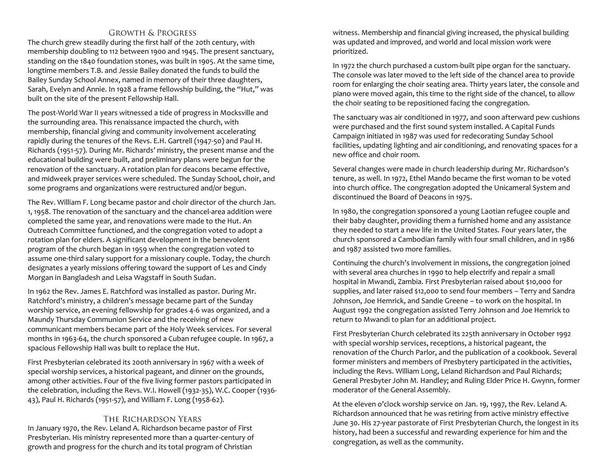## **GROWTH & PROGRESS**

The church grew steadily during the first half of the 20th century, with membership doubling to 112 between 1900 and 1945. The present sanctuary, standing on the 1840 foundation stones, was built in 1905. At the same time, longtime members T.B. and Jessie Bailey donated the funds to build the Bailey Sunday School Annex, named in memory of their three daughters, Sarah, Evelyn and Annie. In 1928 a frame fellowship building, the "Hut," was built on the site of the present Fellowship Hall.

The post-World War II years witnessed a tide of progress in Mocksville and the surrounding area. This renaissance impacted the church, with membership, financial giving and community involvement accelerating rapidly during the tenures of the Revs. E.H. Gartrell (1947-50) and Paul H. Richards (1951-57). During Mr. Richards' ministry, the present manse and the educational building were built, and preliminary plans were begun for the renovation of the sanctuary. A rotation plan for deacons became effective, and midweek prayer services were scheduled. The Sunday School, choir, and some programs and organizations were restructured and/or begun.

The Rev. William F. Long became pastor and choir director of the church Jan. 1, 1958. The renovation of the sanctuary and the chancel-area addition were completed the same year, and renovations were made to the Hut. An Outreach Committee functioned, and the congregation voted to adopt a rotation plan for elders. A significant development in the benevolent program of the church began in 1959 when the congregation voted to assume one-third salary support for a missionary couple. Today, the church designates a yearly missions offering toward the support of Les and Cindy Morgan in Bangladesh and Leisa Wagstaff in South Sudan.

In 1962 the Rev. James E. Ratchford was installed as pastor. During Mr. Ratchford's ministry, a children's message became part of the Sunday worship service, an evening fellowship for grades 4-6 was organized, and a Maundy Thursday Communion Service and the receiving of new communicant members became part of the Holy Week services. For several months in 1963-64, the church sponsored a Cuban refugee couple. In 1967, a spacious Fellowship Hall was built to replace the Hut.

First Presbyterian celebrated its 200th anniversary in 1967 with a week of special worship services, a historical pageant, and dinner on the grounds, among other activities. Four of the five living former pastors participated in the celebration, including the Revs. W.I. Howell (1932-35), W.C. Cooper (1936- 43), Paul H. Richards (1951-57), and William F. Long (1958-62).

## THE RICHARDSON YEARS

In January 1970, the Rev. Leland A. Richardson became pastor of First Presbyterian. His ministry represented more than a quarter-century of growth and progress for the church and its total program of Christian

witness. Membership and financial giving increased, the physical building was updated and improved, and world and local mission work were prioritized.

In 1972 the church purchased a custom-built pipe organ for the sanctuary. The console was later moved to the left side of the chancel area to provide room for enlarging the choir seating area. Thirty years later, the console and piano were moved again, this time to the right side of the chancel, to allow the choir seating to be repositioned facing the congregation.

The sanctuary was air conditioned in 1977, and soon afterward pew cushions were purchased and the first sound system installed. A Capital Funds Campaign initiated in 1987 was used for redecorating Sunday School facilities, updating lighting and air conditioning, and renovating spaces for a new office and choir room.

Several changes were made in church leadership during Mr. Richardson's tenure, as well. In 1972, Ethel Mando became the first woman to be voted into church office. The congregation adopted the Unicameral System and discontinued the Board of Deacons in 1975.

In 1980, the congregation sponsored a young Laotian refugee couple and their baby daughter, providing them a furnished home and any assistance they needed to start a new life in the United States. Four years later, the church sponsored a Cambodian family with four small children, and in 1986 and 1987 assisted two more families.

Continuing the church's involvement in missions, the congregation joined with several area churches in 1990 to help electrify and repair a small hospital in Mwandi, Zambia. First Presbyterian raised about \$10,000 for supplies, and later raised \$12,000 to send four members – Terry and Sandra Johnson, Joe Hemrick, and Sandie Greene – to work on the hospital. In August 1992 the congregation assisted Terry Johnson and Joe Hemrick to return to Mwandi to plan for an additional project.

First Presbyterian Church celebrated its 225th anniversary in October 1992 with special worship services, receptions, a historical pageant, the renovation of the Church Parlor, and the publication of a cookbook. Several former ministers and members of Presbytery participated in the activities, including the Revs. William Long, Leland Richardson and Paul Richards; General Presbyter John M. Handley; and Ruling Elder Price H. Gwynn, former moderator of the General Assembly.

At the eleven o'clock worship service on Jan. 19, 1997, the Rev. Leland A. Richardson announced that he was retiring from active ministry effective June 30. His 27-year pastorate of First Presbyterian Church, the longest in its history, had been a successful and rewarding experience for him and the congregation, as well as the community.